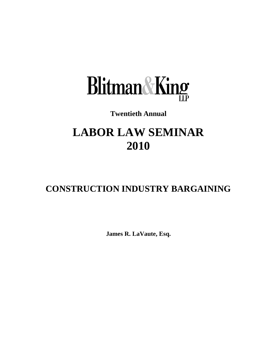

# **Twentieth Annual**

# **LABOR LAW SEMINAR 2010**

# **CONSTRUCTION INDUSTRY BARGAINING**

**James R. LaVaute, Esq.**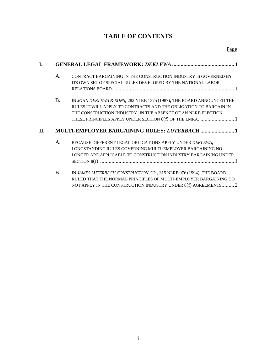## **TABLE OF CONTENTS**

| L. |                                                      |                                                                                                                                                                                                              |
|----|------------------------------------------------------|--------------------------------------------------------------------------------------------------------------------------------------------------------------------------------------------------------------|
|    | A.                                                   | CONTRACT BARGAINING IN THE CONSTRUCTION INDUSTRY IS GOVERNED BY<br>ITS OWN SET OF SPECIAL RULES DEVELOPED BY THE NATIONAL LABOR                                                                              |
|    | <b>B.</b>                                            | IN JOHN DEKLEWA & SONS, 282 NLRB 1375 (1987), THE BOARD ANNOUNCED THE<br>RULES IT WILL APPLY TO CONTRACTS AND THE OBLIGATION TO BARGAIN IN<br>THE CONSTRUCTION INDUSTRY, IN THE ABSENCE OF AN NLRB ELECTION. |
| П. | <b>MULTI-EMPLOYER BARGAINING RULES: LUTERBACH  1</b> |                                                                                                                                                                                                              |
|    | A.                                                   | BECAUSE DIFFERENT LEGAL OBLIGATIONS APPLY UNDER DEKLEWA,<br>LONGSTANDING RULES GOVERNING MULTI-EMPLOYER BARGAINING NO<br>LONGER ARE APPLICABLE TO CONSTRUCTION INDUSTRY BARGAINING UNDER                     |
|    | <b>B.</b>                                            | IN JAMES LUTERBACH CONSTRUCTION CO., 315 NLRB 976 (1994), THE BOARD<br>RULED THAT THE NORMAL PRINCIPLES OF MULTI-EMPLOYER BARGAINING DO<br>NOT APPLY IN THE CONSTRUCTION INDUSTRY UNDER 8(f) AGREEMENTS 2    |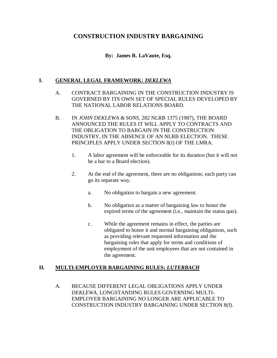### **CONSTRUCTION INDUSTRY BARGAINING**

#### **By: James R. LaVaute, Esq.**

#### <span id="page-2-1"></span><span id="page-2-0"></span>**I. GENERAL LEGAL FRAMEWORK:** *DEKLEWA*

- A. CONTRACT BARGAINING IN THE CONSTRUCTION INDUSTRY IS GOVERNED BY ITS OWN SET OF SPECIAL RULES DEVELOPED BY THE NATIONAL LABOR RELATIONS BOARD.
- <span id="page-2-2"></span>B. IN *JOHN DEKLEWA & SONS*, 282 NLRB 1375 (1987), THE BOARD ANNOUNCED THE RULES IT WILL APPLY TO CONTRACTS AND THE OBLIGATION TO BARGAIN IN THE CONSTRUCTION INDUSTRY, IN THE ABSENCE OF AN NLRB ELECTION. THESE PRINCIPLES APPLY UNDER SECTION 8(f) OF THE LMRA.
	- 1. A labor agreement will be enforceable for its duration (but it will not be a bar to a Board election).
	- 2. At the end of the agreement, there are no obligations; each party can go its separate way.
		- a. No obligation to bargain a new agreement.
		- b. No obligation as a matter of bargaining law to honor the expired terms of the agreement (i.e., maintain the status quo).
		- c. While the agreement remains in effect, the parties are obligated to honor it and normal bargaining obligations, such as providing relevant requested information and the bargaining rules that apply for terms and conditions of employment of the unit employees that are not contained in the agreement.

#### <span id="page-2-3"></span>**II. MULTI-EMPLOYER BARGAINING RULES:** *LUTERBACH*

<span id="page-2-4"></span>A. BECAUSE DIFFERENT LEGAL OBLIGATIONS APPLY UNDER *DEKLEWA*, LONGSTANDING RULES GOVERNING MULTI-EMPLOYER BARGAINING NO LONGER ARE APPLICABLE TO CONSTRUCTION INDUSTRY BARGAINING UNDER SECTION 8(f).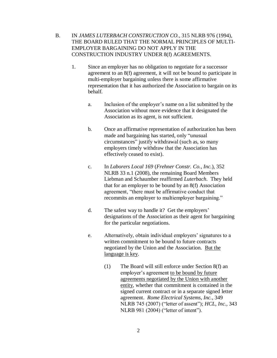<span id="page-3-0"></span>B. IN *JAMES LUTERBACH CONSTRUCTION CO.*, 315 NLRB 976 (1994), THE BOARD RULED THAT THE NORMAL PRINCIPLES OF MULTI-EMPLOYER BARGAINING DO NOT APPLY IN THE CONSTRUCTION INDUSTRY UNDER 8(f) AGREEMENTS.

- 1. Since an employer has no obligation to negotiate for a successor agreement to an 8(f) agreement, it will not be bound to participate in multi-employer bargaining unless there is some affirmative representation that it has authorized the Association to bargain on its behalf.
	- a. Inclusion of the employer's name on a list submitted by the Association without more evidence that it designated the Association as its agent, is not sufficient.
	- b. Once an affirmative representation of authorization has been made and bargaining has started, only "unusual circumstances" justify withdrawal (such as, so many employers timely withdraw that the Association has effectively ceased to exist).
	- c. In *Laborers Local 169* (*Frehner Constr. Co., Inc.*), 352 NLRB 33 n.1 (2008), the remaining Board Members Liebman and Schaumber reaffirmed *Luterbach*. They held that for an employer to be bound by an 8(f) Association agreement, "there must be affirmative conduct that recommits an employer to multiemployer bargaining."
	- d. The safest way to handle it? Get the employers' designations of the Association as their agent for bargaining for the particular negotiations.
	- e. Alternatively, obtain individual employers' signatures to a written commitment to be bound to future contracts negotiated by the Union and the Association. But the language is key.
		- (1) The Board will still enforce under Section 8(f) an employer's agreement to be bound by future agreements negotiated by the Union with another entity, whether that commitment is contained in the signed current contract or in a separate signed letter agreement. *Rome Electrical Systems, Inc.*, 349 NLRB 745 (2007) ("letter of assent"); *HCL, Inc.*, 343 NLRB 981 (2004) ("letter of intent").